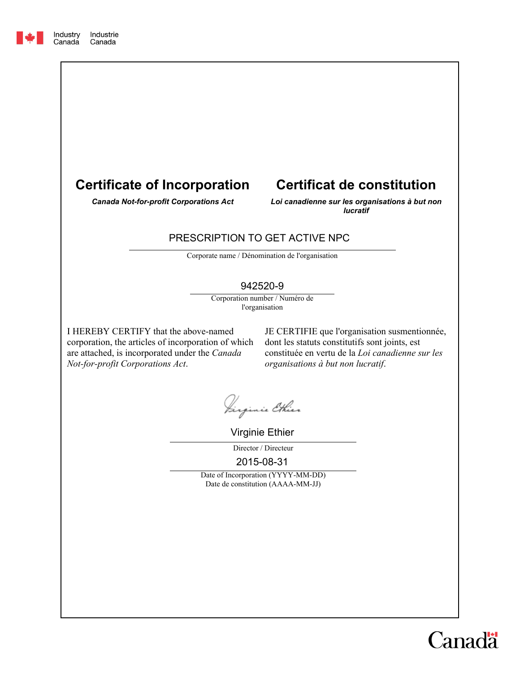



# **Certificat de constitution**

*Canada Not-for-profit Corporations Act*

*Loi canadienne sur les organisations à but non lucratif*

### PRESCRIPTION TO GET ACTIVE NPC

Corporate name / Dénomination de l'organisation

#### 942520-9

Corporation number / Numéro de l'organisation

I HEREBY CERTIFY that the above-named corporation, the articles of incorporation of which are attached, is incorporated under the *Canada Not-for-profit Corporations Act*.

JE CERTIFIE que l'organisation susmentionnée, dont les statuts constitutifs sont joints, est constituée en vertu de la *Loi canadienne sur les organisations à but non lucratif*.

Jirginie Ethier

Virginie Ethier

Director / Directeur

2015-08-31

Date of Incorporation (YYYY-MM-DD) Date de constitution (AAAA-MM-JJ)

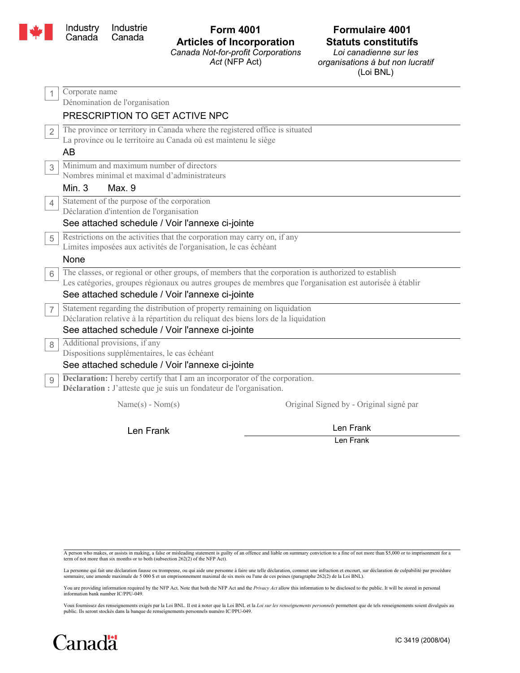

#### **Form 4001 Articles of Incorporation** *Canada Not-for-profit Corporations*

*Act* (NFP Act)

## **Formulaire 4001 Statuts constitutifs**

*Loi canadienne sur les organisations à but non lucratif* (Loi BNL)

| 1              | Corporate name                                                                                                                                            |
|----------------|-----------------------------------------------------------------------------------------------------------------------------------------------------------|
|                | Dénomination de l'organisation                                                                                                                            |
|                | PRESCRIPTION TO GET ACTIVE NPC                                                                                                                            |
| $\overline{2}$ | The province or territory in Canada where the registered office is situated                                                                               |
|                | La province ou le territoire au Canada où est maintenu le siège                                                                                           |
|                | AB                                                                                                                                                        |
| 3              | Minimum and maximum number of directors                                                                                                                   |
|                | Nombres minimal et maximal d'administrateurs                                                                                                              |
|                | Min. $3$<br>Max. 9                                                                                                                                        |
| $\overline{4}$ | Statement of the purpose of the corporation                                                                                                               |
|                | Déclaration d'intention de l'organisation                                                                                                                 |
|                | See attached schedule / Voir l'annexe ci-jointe                                                                                                           |
| 5              | Restrictions on the activities that the corporation may carry on, if any                                                                                  |
|                | Limites imposées aux activités de l'organisation, le cas échéant                                                                                          |
|                | None                                                                                                                                                      |
| 6              | The classes, or regional or other groups, of members that the corporation is authorized to establish                                                      |
|                | Les catégories, groupes régionaux ou autres groupes de membres que l'organisation est autorisée à établir                                                 |
|                | See attached schedule / Voir l'annexe ci-jointe                                                                                                           |
| $\overline{7}$ | Statement regarding the distribution of property remaining on liquidation                                                                                 |
|                | Déclaration relative à la répartition du reliquat des biens lors de la liquidation                                                                        |
|                | See attached schedule / Voir l'annexe ci-jointe                                                                                                           |
| 8              | Additional provisions, if any                                                                                                                             |
|                | Dispositions supplémentaires, le cas échéant                                                                                                              |
|                | See attached schedule / Voir l'annexe ci-jointe                                                                                                           |
| 9              | <b>Declaration:</b> I hereby certify that I am an incorporator of the corporation.<br>Déclaration : J'atteste que je suis un fondateur de l'organisation. |
|                | $Name(s) - Nom(s)$<br>Original Signed by - Original signé par                                                                                             |
|                | Len Frank<br>Len Frank                                                                                                                                    |

Len Frank

A person who makes, or assists in making, a false or misleading statement is guilty of an offence and liable on summary conviction to a fine of not more than \$5,000 or to imprisonment for a term of not more than six months or to both (subsection 262(2) of the NFP Act).

La personne qui fait une déclaration fausse ou trompeuse, ou qui aide une personne à faire une telle déclaration, commet une infraction et encourt, sur déclaration de culpabilité par procédure<br>sommaire, une amende maximale

You are providing information required by the NFP Act. Note that both the NFP Act and the *Privacy Act* allow this information to be disclosed to the public. It will be stored in personal<br>information bank number IC/PPU-049

Vous fournissez des renseignements exigés par la Loi BNL. Il est à noter que la Loi BNL et la *Loi sur les renseignements personnels* permettent que de tels renseignements soient divulgués au public. Ils seront stockés dans la banque de renseignements personnels numéro IC/PPU-049.

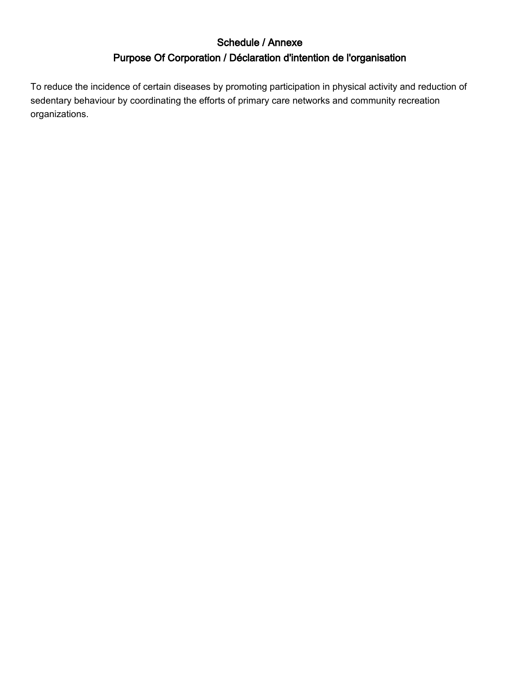## Schedule / Annexe Purpose Of Corporation / Déclaration d'intention de l'organisation

To reduce the incidence of certain diseases by promoting participation in physical activity and reduction of sedentary behaviour by coordinating the efforts of primary care networks and community recreation organizations.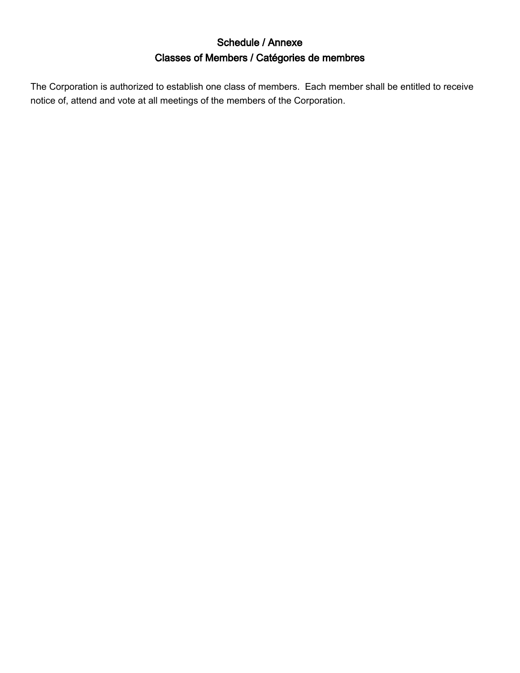## Schedule / Annexe Classes of Members / Catégories de membres

The Corporation is authorized to establish one class of members. Each member shall be entitled to receive notice of, attend and vote at all meetings of the members of the Corporation.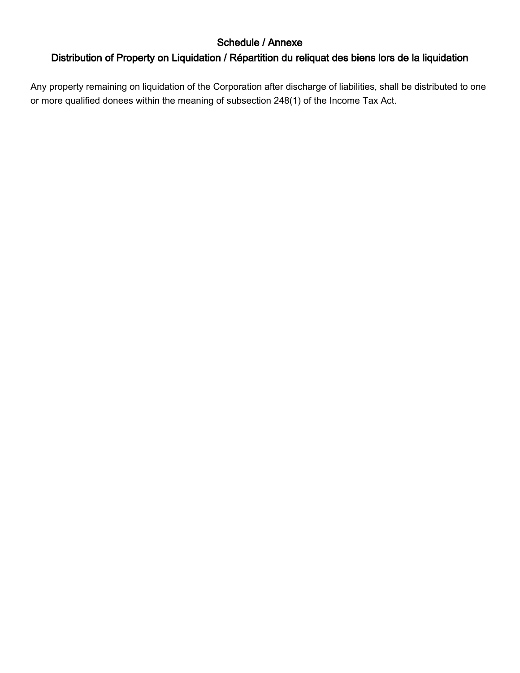### Schedule / Annexe

## Distribution of Property on Liquidation / Répartition du reliquat des biens lors de la liquidation

Any property remaining on liquidation of the Corporation after discharge of liabilities, shall be distributed to one or more qualified donees within the meaning of subsection 248(1) of the Income Tax Act.